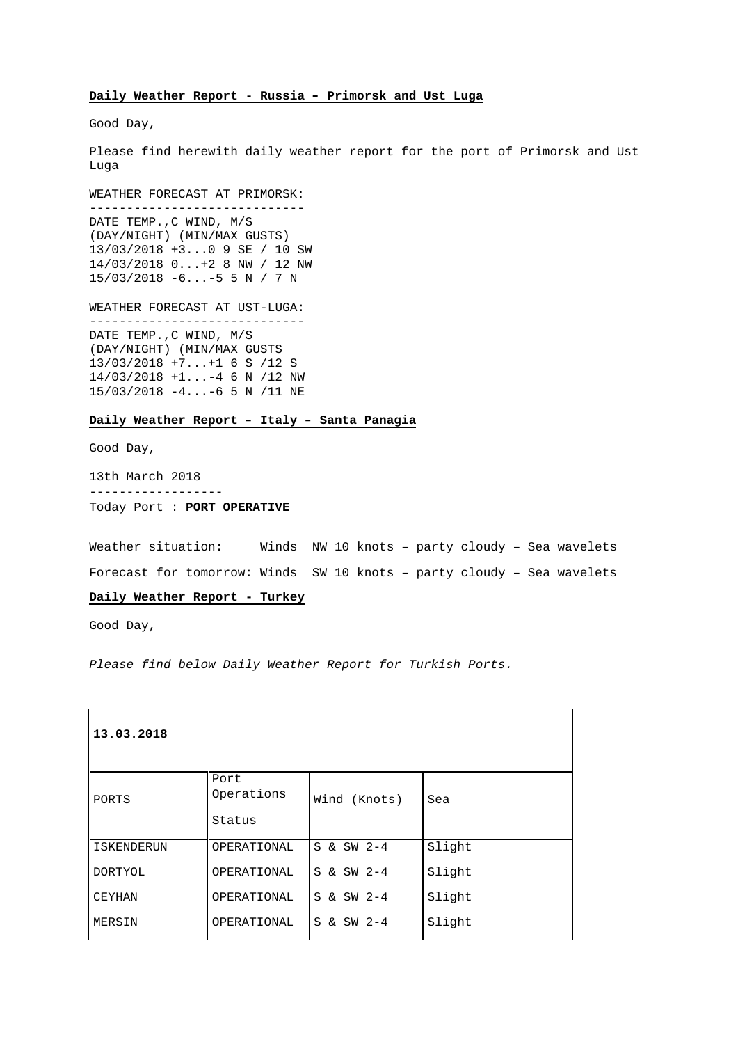## **Daily Weather Report - Russia – Primorsk and Ust Luga**

Good Day,

Please find herewith daily weather report for the port of Primorsk and Ust Luga

WEATHER FORECAST AT PRIMORSK:

----------------------------- DATE TEMP.,C WIND, M/S (DAY/NIGHT) (MIN/MAX GUSTS) 13/03/2018 +3...0 9 SE / 10 SW 14/03/2018 0...+2 8 NW / 12 NW 15/03/2018 -6...-5 5 N / 7 N

WEATHER FORECAST AT UST-LUGA:

----------------------------- DATE TEMP.,C WIND, M/S (DAY/NIGHT) (MIN/MAX GUSTS 13/03/2018 +7...+1 6 S /12 S 14/03/2018 +1...-4 6 N /12 NW 15/03/2018 -4...-6 5 N /11 NE

### **Daily Weather Report – Italy – Santa Panagia**

Good Day,

13th March 2018 ------------------ Today Port : **PORT OPERATIVE**

Weather situation: Winds NW 10 knots – party cloudy – Sea wavelets Forecast for tomorrow: Winds SW 10 knots – party cloudy – Sea wavelets

#### **Daily Weather Report - Turkey**

Good Day,

Please find below Daily Weather Report for Turkish Ports.

| 13.03.2018        |             |              |        |
|-------------------|-------------|--------------|--------|
|                   | Port        |              |        |
| PORTS             | Operations  | Wind (Knots) | Sea    |
|                   | Status      |              |        |
| <b>ISKENDERUN</b> | OPERATIONAL | S & SW 2-4   | Slight |
| <b>DORTYOL</b>    | OPERATIONAL | S & SW 2-4   | Slight |
| <b>CEYHAN</b>     | OPERATIONAL | S & SW 2-4   | Slight |
| MERSIN            | OPERATIONAL | S & SW 2-4   | Slight |